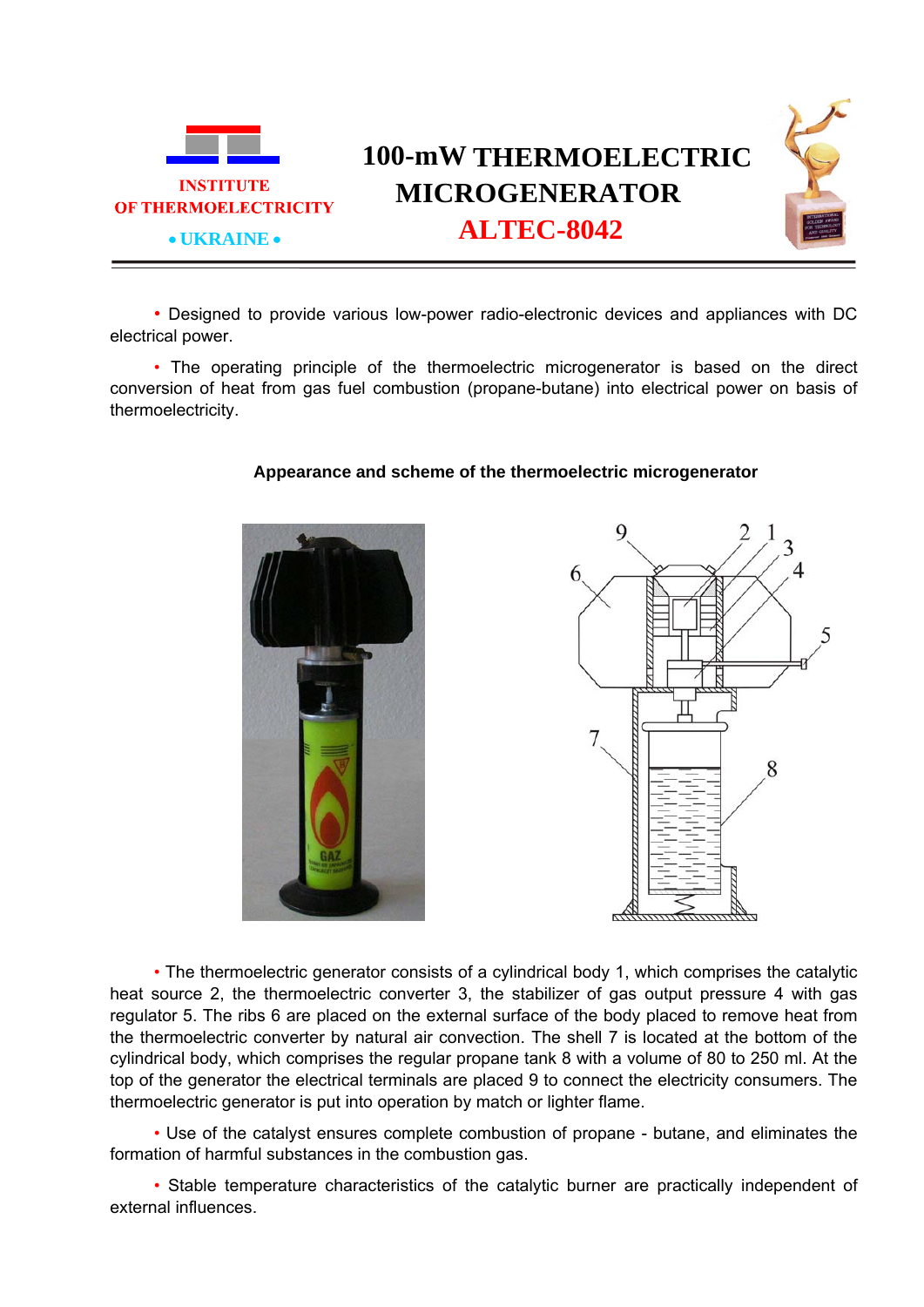

## **100-mW THERMOELECTRIC MICROGENERATOR ALTEC-8042**

• Designed to provide various low-power radio-electronic devices and appliances with DC electrical power.

• The operating principle of the thermoelectric microgenerator is based on the direct conversion of heat from gas fuel combustion (propane-butane) into electrical power on basis of thermoelectricity.



## **Appearance and scheme of the thermoelectric microgenerator**



• The thermoelectric generator consists of a cylindrical body 1, which comprises the catalytic heat source 2, the thermoelectric converter 3, the stabilizer of gas output pressure 4 with gas regulator 5. The ribs 6 are placed on the external surface of the body placed to remove heat from the thermoelectric converter by natural air convection. The shell 7 is located at the bottom of the cylindrical body, which comprises the regular propane tank 8 with a volume of 80 to 250 ml. At the top of the generator the electrical terminals are placed 9 to connect the electricity consumers. The thermoelectric generator is put into operation by match or lighter flame.

• Use of the catalyst ensures complete combustion of propane - butane, and eliminates the formation of harmful substances in the combustion gas.

• Stable temperature characteristics of the catalytic burner are practically independent of external influences.